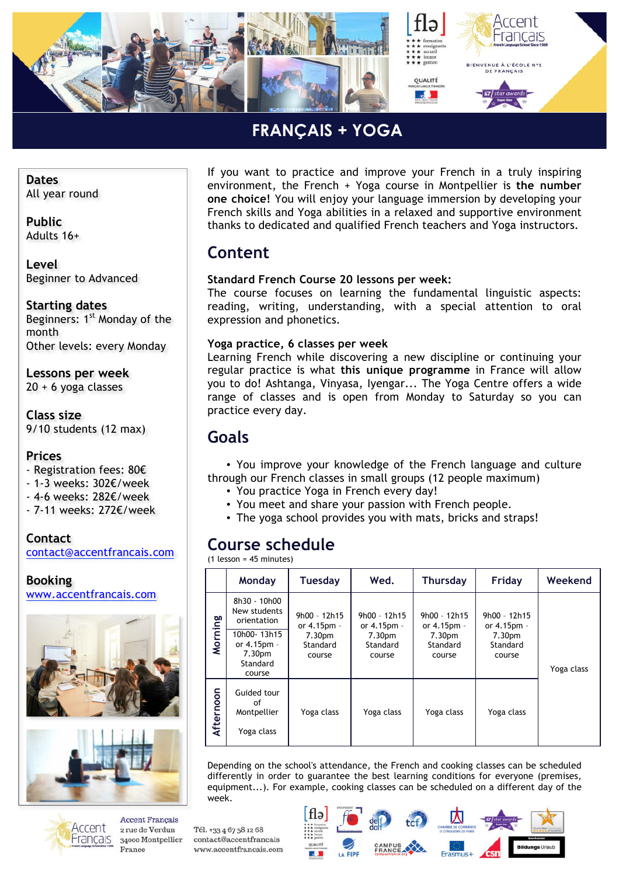

### **FRANÇAIS + YOGA** *»*

**Dates** All year round

**Public** Adults 16+

**Level** Beginner to Advanced

**Starting dates**

Beginners: 1<sup>st</sup> Monday of the month Other levels: every Monday

**Lessons per week** 20 + 6 yoga classes

**Class size** 9/10 students (12 max)

#### **Prices**

- Registration fees: 80€

- 1-3 weeks: 302€/week
- 4-6 weeks: 282€/week
- 7-11 weeks: 272€/week

**Contact** contact@accentfrancais.com

**Booking** www.accentfrancais.com





**Accent Francais** Accent 2 rue de Verdun Français 34000 Montpellier France

If you want to practice and improve your French in a truly inspiring environment, the French + Yoga course in Montpellier is **the number one choice!** You will enjoy your language immersion by developing your French skills and Yoga abilities in a relaxed and supportive environment thanks to dedicated and qualified French teachers and Yoga instructors.

### **Content**

### **Standard French Course 20 lessons per week:**

The course focuses on learning the fundamental linguistic aspects: reading, writing, understanding, with a special attention to oral expression and phonetics.

#### **Yoga practice, 6 classes per week**

Learning French while discovering a new discipline or continuing your regular practice is what **this unique programme** in France will allow you to do! Ashtanga, Vinyasa, Iyengar... The Yoga Centre offers a wide range of classes and is open from Monday to Saturday so you can practice every day.

### **Goals**

• You improve your knowledge of the French language and culture through our French classes in small groups (12 people maximum)

- You practice Yoga in French every day!
- You meet and share your passion with French people.
- The yoga school provides you with mats, bricks and straps!

## **Course schedule**

(1 lesson = 45 minutes)

Tél. +33 4 67 58 12 68

contact@accentfrancais

www.accentfrancais.com

|           | Monday                                                                                                                | <b>Tuesday</b>                                                | Wed.                                                                    | <b>Thursday</b>                                                           | Friday                                                                  | Weekend    |  |
|-----------|-----------------------------------------------------------------------------------------------------------------------|---------------------------------------------------------------|-------------------------------------------------------------------------|---------------------------------------------------------------------------|-------------------------------------------------------------------------|------------|--|
| Morning   | 8h30 - 10h00<br>New students<br>orientation<br>10h00-13h15<br>or 4.15pm -<br>7.30 <sub>pm</sub><br>Standard<br>course | $9h00 - 12h15$<br>or 4.15pm -<br>7.30pm<br>Standard<br>course | 9h00 - 12h15<br>or 4.15pm -<br>7.30 <sub>pm</sub><br>Standard<br>course | $9h00 - 12h15$<br>or 4.15pm -<br>7.30 <sub>pm</sub><br>Standard<br>course | 9h00 - 12h15<br>or 4.15pm -<br>7.30 <sub>pm</sub><br>Standard<br>course | Yoga class |  |
| Afternoon | Guided tour<br>οf<br>Montpellier<br>Yoga class                                                                        | Yoga class                                                    | Yoga class                                                              | Yoga class                                                                | Yoga class                                                              |            |  |

Depending on the school's attendance, the French and cooking classes can be scheduled differently in order to guarantee the best learning conditions for everyone (premises, equipment...). For example, cooking classes can be scheduled on a different day of the week.